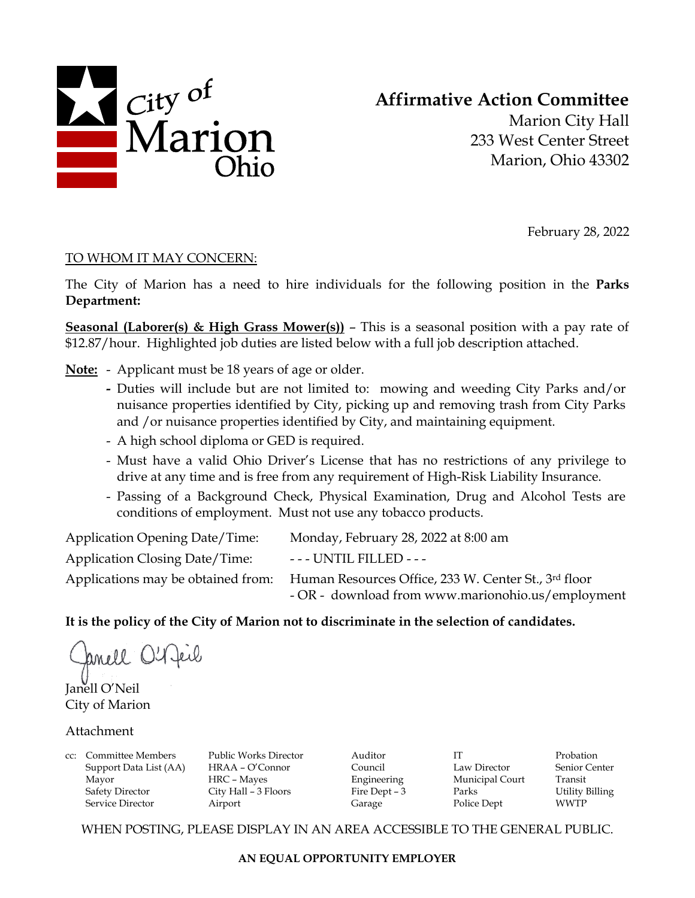

# **Affirmative Action Committee**

Marion City Hall 233 West Center Street Marion, Ohio 43302

February 28, 2022

## TO WHOM IT MAY CONCERN:

The City of Marion has a need to hire individuals for the following position in the **Parks Department:**

**Seasonal (Laborer(s) & High Grass Mower(s))** – This is a seasonal position with a pay rate of \$12.87/hour. Highlighted job duties are listed below with a full job description attached.

**Note:** - Applicant must be 18 years of age or older.

- **-** Duties will include but are not limited to: mowing and weeding City Parks and/or nuisance properties identified by City, picking up and removing trash from City Parks and /or nuisance properties identified by City, and maintaining equipment.
- A high school diploma or GED is required.
- Must have a valid Ohio Driver's License that has no restrictions of any privilege to drive at any time and is free from any requirement of High-Risk Liability Insurance.
- Passing of a Background Check, Physical Examination, Drug and Alcohol Tests are conditions of employment. Must not use any tobacco products.

| <b>Application Opening Date/Time:</b> | Monday, February 28, 2022 at 8:00 am                 |
|---------------------------------------|------------------------------------------------------|
| <b>Application Closing Date/Time:</b> | --- UNTIL FILLED ---                                 |
| Applications may be obtained from:    | Human Resources Office, 233 W. Center St., 3rd floor |
|                                       | - OR - download from www.marionohio.us/employment    |

## **It is the policy of the City of Marion not to discriminate in the selection of candidates.**

anell O'A feil Janell O'Neil

City of Marion

#### Attachment

cc: Committee Members Public Works Director Auditor IT Probation Support Data List (AA) HRAA – O'Connor Council Law Director Senior Center Mayor **HRC** – Mayes Engineering Municipal Court Transit Safety Director City Hall – 3 Floors Fire Dept – 3 Parks Utility Billing Service Director Airport Garage Police Dept WWTP

WHEN POSTING, PLEASE DISPLAY IN AN AREA ACCESSIBLE TO THE GENERAL PUBLIC.

**AN EQUAL OPPORTUNITY EMPLOYER**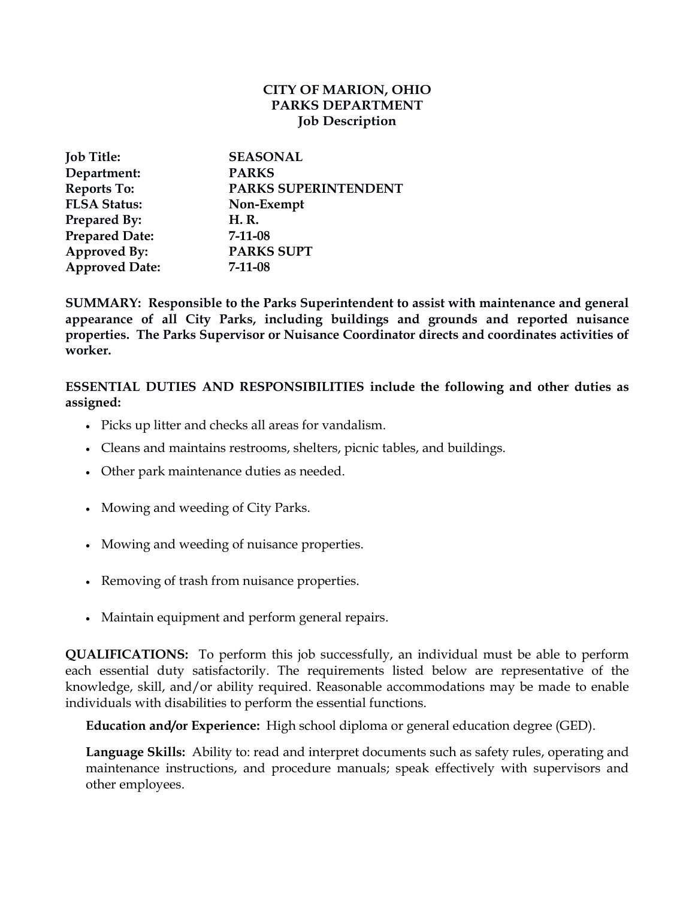## **CITY OF MARION, OHIO PARKS DEPARTMENT Job Description**

| <b>Job Title:</b>     | <b>SEASONAL</b>      |
|-----------------------|----------------------|
| Department:           | <b>PARKS</b>         |
| <b>Reports To:</b>    | PARKS SUPERINTENDENT |
| <b>FLSA Status:</b>   | Non-Exempt           |
| <b>Prepared By:</b>   | H. R.                |
| <b>Prepared Date:</b> | $7 - 11 - 08$        |
| Approved By:          | <b>PARKS SUPT</b>    |
| <b>Approved Date:</b> | $7 - 11 - 08$        |

**SUMMARY: Responsible to the Parks Superintendent to assist with maintenance and general appearance of all City Parks, including buildings and grounds and reported nuisance properties. The Parks Supervisor or Nuisance Coordinator directs and coordinates activities of worker.** 

**ESSENTIAL DUTIES AND RESPONSIBILITIES include the following and other duties as assigned:**

- Picks up litter and checks all areas for vandalism.
- Cleans and maintains restrooms, shelters, picnic tables, and buildings.
- Other park maintenance duties as needed.
- Mowing and weeding of City Parks.
- Mowing and weeding of nuisance properties.
- Removing of trash from nuisance properties.
- Maintain equipment and perform general repairs.

**QUALIFICATIONS:** To perform this job successfully, an individual must be able to perform each essential duty satisfactorily. The requirements listed below are representative of the knowledge, skill, and/or ability required. Reasonable accommodations may be made to enable individuals with disabilities to perform the essential functions.

**Education and/or Experience:** High school diploma or general education degree (GED).

**Language Skills:** Ability to: read and interpret documents such as safety rules, operating and maintenance instructions, and procedure manuals; speak effectively with supervisors and other employees.